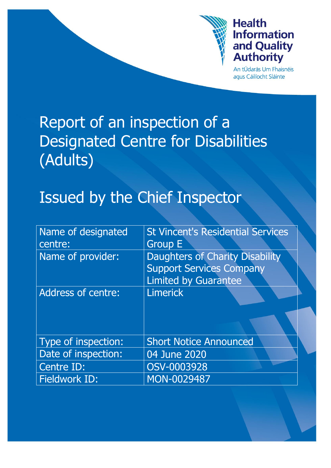

# **Health Information** and Quality **Authority**

An tÚdarás Um Fhaisnéis agus Cáilíocht Sláinte

# Report of an inspection of a Designated Centre for Disabilities (Adults)

# Issued by the Chief Inspector

| Name of designated<br>centre: | <b>St Vincent's Residential Services</b><br><b>Group E</b>                                        |
|-------------------------------|---------------------------------------------------------------------------------------------------|
|                               |                                                                                                   |
| Name of provider:             | Daughters of Charity Disability<br><b>Support Services Company</b><br><b>Limited by Guarantee</b> |
| <b>Address of centre:</b>     | <b>Limerick</b>                                                                                   |
|                               |                                                                                                   |
| Type of inspection:           | <b>Short Notice Announced</b>                                                                     |
| Date of inspection:           | 04 June 2020                                                                                      |
| Centre ID:                    | OSV-0003928                                                                                       |
| Fieldwork ID:                 | MON-0029487                                                                                       |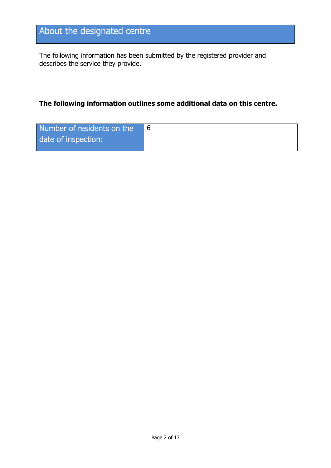# About the designated centre

The following information has been submitted by the registered provider and describes the service they provide.

#### **The following information outlines some additional data on this centre.**

| Number of residents on the |  |
|----------------------------|--|
| date of inspection:        |  |
|                            |  |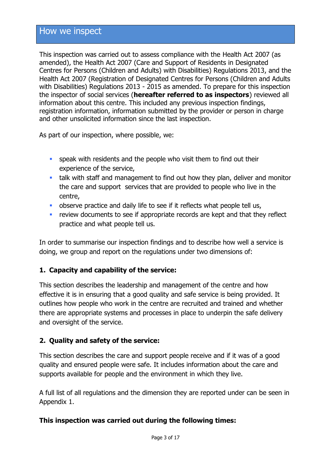This inspection was carried out to assess compliance with the Health Act 2007 (as amended), the Health Act 2007 (Care and Support of Residents in Designated Centres for Persons (Children and Adults) with Disabilities) Regulations 2013, and the Health Act 2007 (Registration of Designated Centres for Persons (Children and Adults with Disabilities) Regulations 2013 - 2015 as amended. To prepare for this inspection the inspector of social services (**hereafter referred to as inspectors**) reviewed all information about this centre. This included any previous inspection findings, registration information, information submitted by the provider or person in charge and other unsolicited information since the last inspection.

As part of our inspection, where possible, we:

- **speak with residents and the people who visit them to find out their** experience of the service,
- talk with staff and management to find out how they plan, deliver and monitor the care and support services that are provided to people who live in the centre,
- **•** observe practice and daily life to see if it reflects what people tell us,
- **F** review documents to see if appropriate records are kept and that they reflect practice and what people tell us.

In order to summarise our inspection findings and to describe how well a service is doing, we group and report on the regulations under two dimensions of:

#### **1. Capacity and capability of the service:**

This section describes the leadership and management of the centre and how effective it is in ensuring that a good quality and safe service is being provided. It outlines how people who work in the centre are recruited and trained and whether there are appropriate systems and processes in place to underpin the safe delivery and oversight of the service.

#### **2. Quality and safety of the service:**

This section describes the care and support people receive and if it was of a good quality and ensured people were safe. It includes information about the care and supports available for people and the environment in which they live.

A full list of all regulations and the dimension they are reported under can be seen in Appendix 1.

#### **This inspection was carried out during the following times:**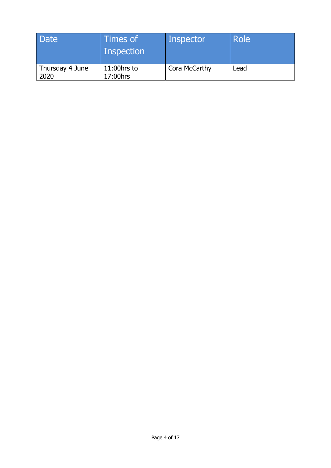| Date                    | Times of<br><b>Inspection</b> | Inspector     | <b>Role</b> |
|-------------------------|-------------------------------|---------------|-------------|
| Thursday 4 June<br>2020 | 11:00hrs to<br>17:00hrs       | Cora McCarthy | Lead        |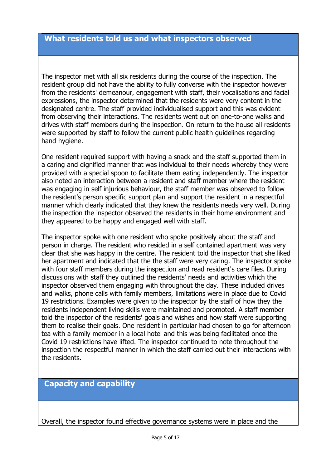The inspector met with all six residents during the course of the inspection. The resident group did not have the ability to fully converse with the inspector however from the residents' demeanour, engagement with staff, their vocalisations and facial expressions, the inspector determined that the residents were very content in the designated centre. The staff provided individualised support and this was evident from observing their interactions. The residents went out on one-to-one walks and drives with staff members during the inspection. On return to the house all residents were supported by staff to follow the current public health guidelines regarding hand hygiene.

One resident required support with having a snack and the staff supported them in a caring and dignified manner that was individual to their needs whereby they were provided with a special spoon to facilitate them eating independently. The inspector also noted an interaction between a resident and staff member where the resident was engaging in self injurious behaviour, the staff member was observed to follow the resident's person specific support plan and support the resident in a respectful manner which clearly indicated that they knew the residents needs very well. During the inspection the inspector observed the residents in their home environment and they appeared to be happy and engaged well with staff.

The inspector spoke with one resident who spoke positively about the staff and person in charge. The resident who resided in a self contained apartment was very clear that she was happy in the centre. The resident told the inspector that she liked her apartment and indicated that the the staff were very caring. The inspector spoke with four staff members during the inspection and read resident's care files. During discussions with staff they outlined the residents' needs and activities which the inspector observed them engaging with throughout the day. These included drives and walks, phone calls with family members, limitations were in place due to Covid 19 restrictions. Examples were given to the inspector by the staff of how they the residents independent living skills were maintained and promoted. A staff member told the inspector of the residents' goals and wishes and how staff were supporting them to realise their goals. One resident in particular had chosen to go for afternoon tea with a family member in a local hotel and this was being facilitated once the Covid 19 restrictions have lifted. The inspector continued to note throughout the inspection the respectful manner in which the staff carried out their interactions with the residents.

## **Capacity and capability**

Overall, the inspector found effective governance systems were in place and the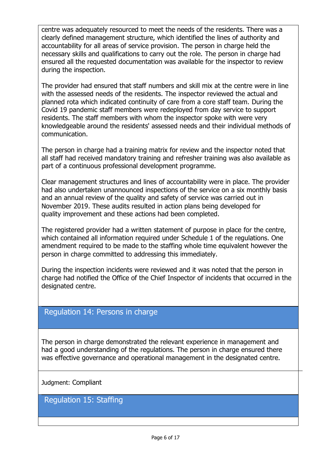centre was adequately resourced to meet the needs of the residents. There was a clearly defined management structure, which identified the lines of authority and accountability for all areas of service provision. The person in charge held the necessary skills and qualifications to carry out the role. The person in charge had ensured all the requested documentation was available for the inspector to review during the inspection.

The provider had ensured that staff numbers and skill mix at the centre were in line with the assessed needs of the residents. The inspector reviewed the actual and planned rota which indicated continuity of care from a core staff team. During the Covid 19 pandemic staff members were redeployed from day service to support residents. The staff members with whom the inspector spoke with were very knowledgeable around the residents' assessed needs and their individual methods of communication.

The person in charge had a training matrix for review and the inspector noted that all staff had received mandatory training and refresher training was also available as part of a continuous professional development programme.

Clear management structures and lines of accountability were in place. The provider had also undertaken unannounced inspections of the service on a six monthly basis and an annual review of the quality and safety of service was carried out in November 2019. These audits resulted in action plans being developed for quality improvement and these actions had been completed.

The registered provider had a written statement of purpose in place for the centre, which contained all information required under Schedule 1 of the regulations. One amendment required to be made to the staffing whole time equivalent however the person in charge committed to addressing this immediately.

During the inspection incidents were reviewed and it was noted that the person in charge had notified the Office of the Chief Inspector of incidents that occurred in the designated centre.

#### Regulation 14: Persons in charge

The person in charge demonstrated the relevant experience in management and had a good understanding of the regulations. The person in charge ensured there was effective governance and operational management in the designated centre.

Judgment: Compliant

Regulation 15: Staffing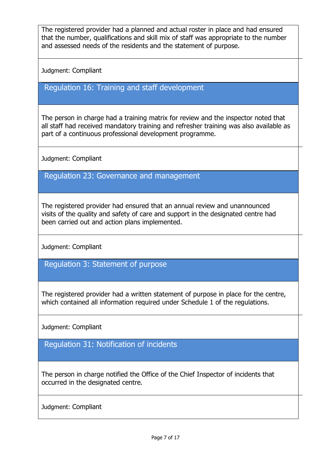The registered provider had a planned and actual roster in place and had ensured that the number, qualifications and skill mix of staff was appropriate to the number and assessed needs of the residents and the statement of purpose.

Judgment: Compliant

### Regulation 16: Training and staff development

The person in charge had a training matrix for review and the inspector noted that all staff had received mandatory training and refresher training was also available as part of a continuous professional development programme.

Judgment: Compliant

Regulation 23: Governance and management

The registered provider had ensured that an annual review and unannounced visits of the quality and safety of care and support in the designated centre had been carried out and action plans implemented.

Judgment: Compliant

Regulation 3: Statement of purpose

The registered provider had a written statement of purpose in place for the centre, which contained all information required under Schedule 1 of the regulations.

Judgment: Compliant

Regulation 31: Notification of incidents

The person in charge notified the Office of the Chief Inspector of incidents that occurred in the designated centre.

Judgment: Compliant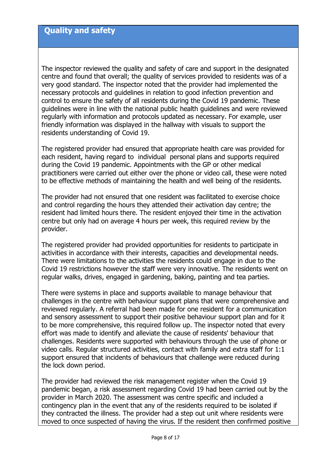The inspector reviewed the quality and safety of care and support in the designated centre and found that overall; the quality of services provided to residents was of a very good standard. The inspector noted that the provider had implemented the necessary protocols and guidelines in relation to good infection prevention and control to ensure the safety of all residents during the Covid 19 pandemic. These guidelines were in line with the national public health guidelines and were reviewed regularly with information and protocols updated as necessary. For example, user friendly information was displayed in the hallway with visuals to support the residents understanding of Covid 19.

The registered provider had ensured that appropriate health care was provided for each resident, having regard to individual personal plans and supports required during the Covid 19 pandemic. Appointments with the GP or other medical practitioners were carried out either over the phone or video call, these were noted to be effective methods of maintaining the health and well being of the residents.

The provider had not ensured that one resident was facilitated to exercise choice and control regarding the hours they attended their activation day centre; the resident had limited hours there. The resident enjoyed their time in the activation centre but only had on average 4 hours per week, this required review by the provider.

The registered provider had provided opportunities for residents to participate in activities in accordance with their interests, capacities and developmental needs. There were limitations to the activities the residents could engage in due to the Covid 19 restrictions however the staff were very innovative. The residents went on regular walks, drives, engaged in gardening, baking, painting and tea parties.

There were systems in place and supports available to manage behaviour that challenges in the centre with behaviour support plans that were comprehensive and reviewed regularly. A referral had been made for one resident for a communication and sensory assessment to support their positive behaviour support plan and for it to be more comprehensive, this required follow up. The inspector noted that every effort was made to identify and alleviate the cause of residents' behaviour that challenges. Residents were supported with behaviours through the use of phone or video calls. Regular structured activities, contact with family and extra staff for 1:1 support ensured that incidents of behaviours that challenge were reduced during the lock down period.

The provider had reviewed the risk management register when the Covid 19 pandemic began, a risk assessment regarding Covid 19 had been carried out by the provider in March 2020. The assessment was centre specific and included a contingency plan in the event that any of the residents required to be isolated if they contracted the illness. The provider had a step out unit where residents were moved to once suspected of having the virus. If the resident then confirmed positive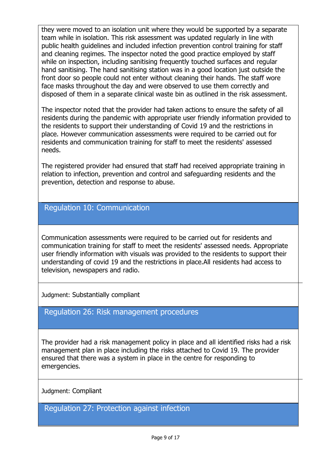they were moved to an isolation unit where they would be supported by a separate team while in isolation. This risk assessment was updated regularly in line with public health guidelines and included infection prevention control training for staff and cleaning regimes. The inspector noted the good practice employed by staff while on inspection, including sanitising frequently touched surfaces and regular hand sanitising. The hand sanitising station was in a good location just outside the front door so people could not enter without cleaning their hands. The staff wore face masks throughout the day and were observed to use them correctly and disposed of them in a separate clinical waste bin as outlined in the risk assessment.

The inspector noted that the provider had taken actions to ensure the safety of all residents during the pandemic with appropriate user friendly information provided to the residents to support their understanding of Covid 19 and the restrictions in place. However communication assessments were required to be carried out for residents and communication training for staff to meet the residents' assessed needs.

The registered provider had ensured that staff had received appropriate training in relation to infection, prevention and control and safeguarding residents and the prevention, detection and response to abuse.

#### Regulation 10: Communication

Communication assessments were required to be carried out for residents and communication training for staff to meet the residents' assessed needs. Appropriate user friendly information with visuals was provided to the residents to support their understanding of covid 19 and the restrictions in place.All residents had access to television, newspapers and radio.

Judgment: Substantially compliant

#### Regulation 26: Risk management procedures

The provider had a risk management policy in place and all identified risks had a risk management plan in place including the risks attached to Covid 19. The provider ensured that there was a system in place in the centre for responding to emergencies.

Judgment: Compliant

Regulation 27: Protection against infection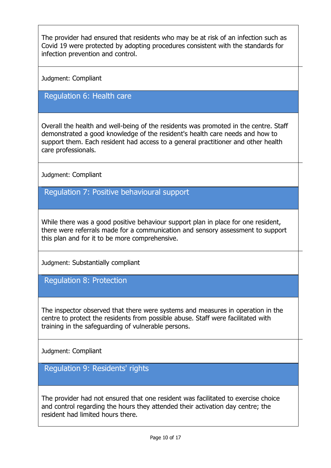The provider had ensured that residents who may be at risk of an infection such as Covid 19 were protected by adopting procedures consistent with the standards for infection prevention and control.

Judgment: Compliant

#### Regulation 6: Health care

Overall the health and well-being of the residents was promoted in the centre. Staff demonstrated a good knowledge of the resident's health care needs and how to support them. Each resident had access to a general practitioner and other health care professionals.

Judgment: Compliant

Regulation 7: Positive behavioural support

While there was a good positive behaviour support plan in place for one resident, there were referrals made for a communication and sensory assessment to support this plan and for it to be more comprehensive.

Judgment: Substantially compliant

Regulation 8: Protection

The inspector observed that there were systems and measures in operation in the centre to protect the residents from possible abuse. Staff were facilitated with training in the safeguarding of vulnerable persons.

Judgment: Compliant

Regulation 9: Residents' rights

The provider had not ensured that one resident was facilitated to exercise choice and control regarding the hours they attended their activation day centre; the resident had limited hours there.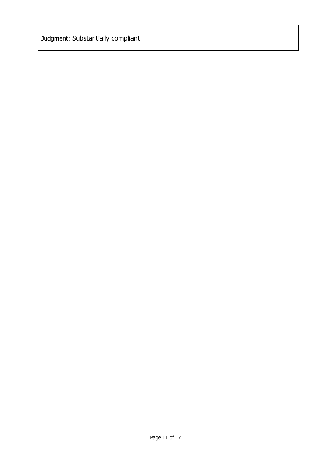Judgment: Substantially compliant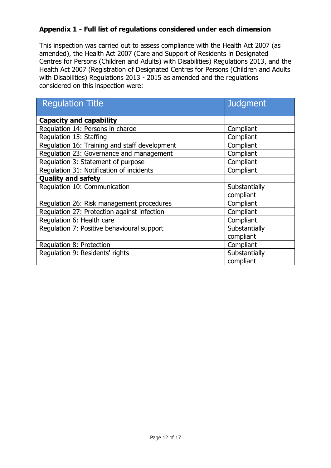#### **Appendix 1 - Full list of regulations considered under each dimension**

This inspection was carried out to assess compliance with the Health Act 2007 (as amended), the Health Act 2007 (Care and Support of Residents in Designated Centres for Persons (Children and Adults) with Disabilities) Regulations 2013, and the Health Act 2007 (Registration of Designated Centres for Persons (Children and Adults with Disabilities) Regulations 2013 - 2015 as amended and the regulations considered on this inspection were:

| <b>Regulation Title</b>                       | <b>Judgment</b> |
|-----------------------------------------------|-----------------|
| <b>Capacity and capability</b>                |                 |
| Regulation 14: Persons in charge              | Compliant       |
| Regulation 15: Staffing                       | Compliant       |
| Regulation 16: Training and staff development | Compliant       |
| Regulation 23: Governance and management      | Compliant       |
| Regulation 3: Statement of purpose            | Compliant       |
| Regulation 31: Notification of incidents      | Compliant       |
| <b>Quality and safety</b>                     |                 |
| Regulation 10: Communication                  | Substantially   |
|                                               | compliant       |
| Regulation 26: Risk management procedures     | Compliant       |
| Regulation 27: Protection against infection   | Compliant       |
| Regulation 6: Health care                     | Compliant       |
| Regulation 7: Positive behavioural support    | Substantially   |
|                                               | compliant       |
| Regulation 8: Protection                      | Compliant       |
| Regulation 9: Residents' rights               | Substantially   |
|                                               | compliant       |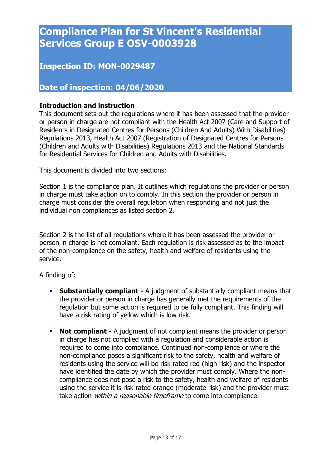# **Compliance Plan for St Vincent's Residential Services Group E OSV-0003928**

## **Inspection ID: MON-0029487**

## **Date of inspection: 04/06/2020**

#### **Introduction and instruction**

This document sets out the regulations where it has been assessed that the provider or person in charge are not compliant with the Health Act 2007 (Care and Support of Residents in Designated Centres for Persons (Children And Adults) With Disabilities) Regulations 2013, Health Act 2007 (Registration of Designated Centres for Persons (Children and Adults with Disabilities) Regulations 2013 and the National Standards for Residential Services for Children and Adults with Disabilities.

This document is divided into two sections:

Section 1 is the compliance plan. It outlines which regulations the provider or person in charge must take action on to comply. In this section the provider or person in charge must consider the overall regulation when responding and not just the individual non compliances as listed section 2.

Section 2 is the list of all regulations where it has been assessed the provider or person in charge is not compliant. Each regulation is risk assessed as to the impact of the non-compliance on the safety, health and welfare of residents using the service.

A finding of:

- **Substantially compliant -** A judgment of substantially compliant means that the provider or person in charge has generally met the requirements of the regulation but some action is required to be fully compliant. This finding will have a risk rating of yellow which is low risk.
- **Not compliant -** A judgment of not compliant means the provider or person in charge has not complied with a regulation and considerable action is required to come into compliance. Continued non-compliance or where the non-compliance poses a significant risk to the safety, health and welfare of residents using the service will be risk rated red (high risk) and the inspector have identified the date by which the provider must comply. Where the noncompliance does not pose a risk to the safety, health and welfare of residents using the service it is risk rated orange (moderate risk) and the provider must take action *within a reasonable timeframe* to come into compliance.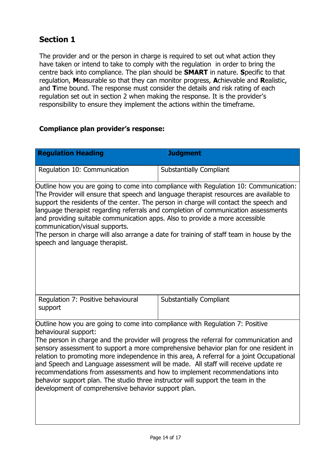# **Section 1**

The provider and or the person in charge is required to set out what action they have taken or intend to take to comply with the regulation in order to bring the centre back into compliance. The plan should be **SMART** in nature. **S**pecific to that regulation, **M**easurable so that they can monitor progress, **A**chievable and **R**ealistic, and **T**ime bound. The response must consider the details and risk rating of each regulation set out in section 2 when making the response. It is the provider's responsibility to ensure they implement the actions within the timeframe.

#### **Compliance plan provider's response:**

| <b>Regulation Heading</b>                                                                                                                                                                                                                                                                                                                                                                                                                                                                                                                                                                                                                                                                         | <b>Judgment</b>                |  |  |
|---------------------------------------------------------------------------------------------------------------------------------------------------------------------------------------------------------------------------------------------------------------------------------------------------------------------------------------------------------------------------------------------------------------------------------------------------------------------------------------------------------------------------------------------------------------------------------------------------------------------------------------------------------------------------------------------------|--------------------------------|--|--|
| Regulation 10: Communication                                                                                                                                                                                                                                                                                                                                                                                                                                                                                                                                                                                                                                                                      | <b>Substantially Compliant</b> |  |  |
| Outline how you are going to come into compliance with Regulation 10: Communication:<br>The Provider will ensure that speech and language therapist resources are available to<br>support the residents of the center. The person in charge will contact the speech and<br>language therapist regarding referrals and completion of communication assessments<br>and providing suitable communication apps. Also to provide a more accessible<br>communication/visual supports.<br>The person in charge will also arrange a date for training of staff team in house by the<br>speech and language therapist.                                                                                     |                                |  |  |
| Regulation 7: Positive behavioural<br>support                                                                                                                                                                                                                                                                                                                                                                                                                                                                                                                                                                                                                                                     | <b>Substantially Compliant</b> |  |  |
| Outline how you are going to come into compliance with Regulation 7: Positive<br>behavioural support:<br>The person in charge and the provider will progress the referral for communication and<br>sensory assessment to support a more comprehensive behavior plan for one resident in<br>relation to promoting more independence in this area, A referral for a joint Occupational<br>and Speech and Language assessment will be made. All staff will receive update re<br>recommendations from assessments and how to implement recommendations into<br>behavior support plan. The studio three instructor will support the team in the<br>development of comprehensive behavior support plan. |                                |  |  |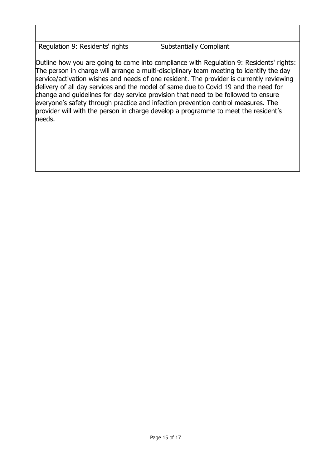Regulation 9: Residents' rights  $\vert$  Substantially Compliant

Outline how you are going to come into compliance with Regulation 9: Residents' rights: The person in charge will arrange a multi-disciplinary team meeting to identify the day service/activation wishes and needs of one resident. The provider is currently reviewing delivery of all day services and the model of same due to Covid 19 and the need for change and guidelines for day service provision that need to be followed to ensure everyone's safety through practice and infection prevention control measures. The provider will with the person in charge develop a programme to meet the resident's needs.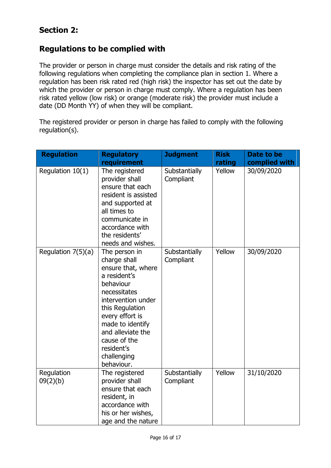# **Section 2:**

## **Regulations to be complied with**

The provider or person in charge must consider the details and risk rating of the following regulations when completing the compliance plan in section 1. Where a regulation has been risk rated red (high risk) the inspector has set out the date by which the provider or person in charge must comply. Where a regulation has been risk rated yellow (low risk) or orange (moderate risk) the provider must include a date (DD Month YY) of when they will be compliant.

The registered provider or person in charge has failed to comply with the following regulation(s).

| <b>Regulation</b>      | <b>Regulatory</b>                                                                                                                                                                                                                                                | <b>Judgment</b>            | <b>Risk</b> | Date to be    |
|------------------------|------------------------------------------------------------------------------------------------------------------------------------------------------------------------------------------------------------------------------------------------------------------|----------------------------|-------------|---------------|
|                        | requirement                                                                                                                                                                                                                                                      |                            | rating      | complied with |
| Regulation 10(1)       | The registered<br>provider shall<br>ensure that each<br>resident is assisted<br>and supported at<br>all times to<br>communicate in<br>accordance with<br>the residents'<br>needs and wishes.                                                                     | Substantially<br>Compliant | Yellow      | 30/09/2020    |
| Regulation $7(5)(a)$   | The person in<br>charge shall<br>ensure that, where<br>a resident's<br>behaviour<br>necessitates<br>intervention under<br>this Regulation<br>every effort is<br>made to identify<br>and alleviate the<br>cause of the<br>resident's<br>challenging<br>behaviour. | Substantially<br>Compliant | Yellow      | 30/09/2020    |
| Regulation<br>09(2)(b) | The registered<br>provider shall<br>ensure that each<br>resident, in<br>accordance with<br>his or her wishes,<br>age and the nature                                                                                                                              | Substantially<br>Compliant | Yellow      | 31/10/2020    |